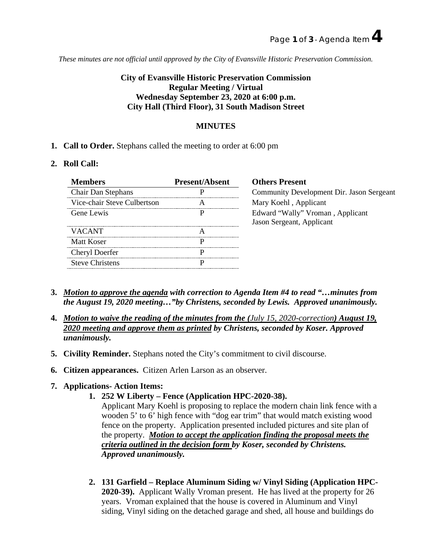*These minutes are not official until approved by the City of Evansville Historic Preservation Commission.*

# **City of Evansville Historic Preservation Commission Regular Meeting / Virtual Wednesday September 23, 2020 at 6:00 p.m. City Hall (Third Floor), 31 South Madison Street**

# **MINUTES**

**1. Call to Order.** Stephans called the meeting to order at 6:00 pm

# **2. Roll Call:**

| <b>Present/Absent</b> | <b>Others Present</b>                                         |
|-----------------------|---------------------------------------------------------------|
|                       | Community Development Dir. Jason Sergeant                     |
|                       | Mary Koehl, Applicant                                         |
|                       | Edward "Wally" Vroman, Applicant<br>Jason Sergeant, Applicant |
|                       |                                                               |
|                       |                                                               |
|                       |                                                               |
|                       |                                                               |
|                       |                                                               |

- **3.** *Motion to approve the agenda with correction to Agenda Item #4 to read "…minutes from the August 19, 2020 meeting…"by Christens, seconded by Lewis. Approved unanimously.*
- **4.** *Motion to waive the reading of the minutes from the (July 15, 2020-correction) August 19, 2020 meeting and approve them as printed by Christens, seconded by Koser. Approved unanimously.*
- **5. Civility Reminder.** Stephans noted the City's commitment to civil discourse.
- **6. Citizen appearances.** Citizen Arlen Larson as an observer.

# **7. Applications- Action Items:**

**1. 252 W Liberty – Fence (Application HPC-2020-38).**

Applicant Mary Koehl is proposing to replace the modern chain link fence with a wooden 5' to 6' high fence with "dog ear trim" that would match existing wood fence on the property. Application presented included pictures and site plan of the property. *Motion to accept the application finding the proposal meets the criteria outlined in the decision form by Koser, seconded by Christens. Approved unanimously.*

**2. 131 Garfield – Replace Aluminum Siding w/ Vinyl Siding (Application HPC-2020-39).** Applicant Wally Vroman present. He has lived at the property for 26 years. Vroman explained that the house is covered in Aluminum and Vinyl siding, Vinyl siding on the detached garage and shed, all house and buildings do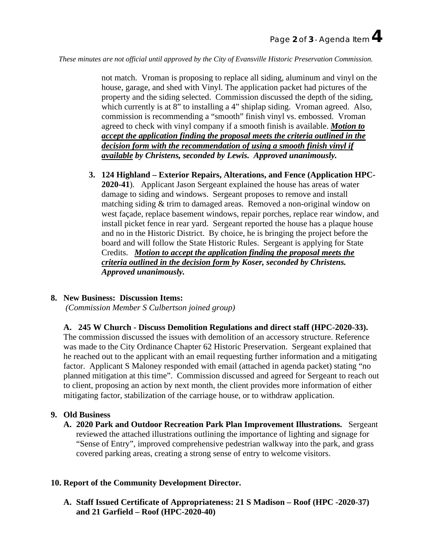*These minutes are not official until approved by the City of Evansville Historic Preservation Commission.*

not match. Vroman is proposing to replace all siding, aluminum and vinyl on the house, garage, and shed with Vinyl. The application packet had pictures of the property and the siding selected. Commission discussed the depth of the siding, which currently is at 8" to installing a 4" shiplap siding. Vroman agreed. Also, commission is recommending a "smooth" finish vinyl vs. embossed. Vroman agreed to check with vinyl company if a smooth finish is available. *Motion to accept the application finding the proposal meets the criteria outlined in the decision form with the recommendation of using a smooth finish vinyl if available by Christens, seconded by Lewis. Approved unanimously.*

**3. 124 Highland – Exterior Repairs, Alterations, and Fence (Application HPC-2020-41**). Applicant Jason Sergeant explained the house has areas of water damage to siding and windows. Sergeant proposes to remove and install matching siding & trim to damaged areas. Removed a non-original window on west façade, replace basement windows, repair porches, replace rear window, and install picket fence in rear yard. Sergeant reported the house has a plaque house and no in the Historic District. By choice, he is bringing the project before the board and will follow the State Historic Rules. Sergeant is applying for State Credits. *Motion to accept the application finding the proposal meets the criteria outlined in the decision form by Koser, seconded by Christens. Approved unanimously.*

# **8. New Business: Discussion Items:**

*(Commission Member S Culbertson joined group)*

#### **A. 245 W Church - Discuss Demolition Regulations and direct staff (HPC-2020-33).**

The commission discussed the issues with demolition of an accessory structure. Reference was made to the City Ordinance Chapter 62 Historic Preservation. Sergeant explained that he reached out to the applicant with an email requesting further information and a mitigating factor. Applicant S Maloney responded with email (attached in agenda packet) stating "no planned mitigation at this time". Commission discussed and agreed for Sergeant to reach out to client, proposing an action by next month, the client provides more information of either mitigating factor, stabilization of the carriage house, or to withdraw application.

### **9. Old Business**

**A. 2020 Park and Outdoor Recreation Park Plan Improvement Illustrations.** Sergeant reviewed the attached illustrations outlining the importance of lighting and signage for "Sense of Entry", improved comprehensive pedestrian walkway into the park, and grass covered parking areas, creating a strong sense of entry to welcome visitors.

### **10. Report of the Community Development Director.**

**A. Staff Issued Certificate of Appropriateness: 21 S Madison – Roof (HPC -2020-37) and 21 Garfield – Roof (HPC-2020-40)**